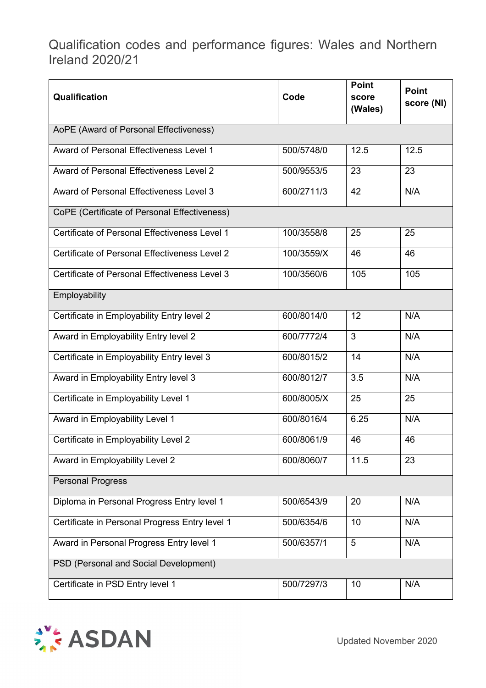Qualification codes and performance figures: Wales and Northern Ireland 2020/21

| Qualification                                  | Code       | <b>Point</b><br>score<br>(Wales) | <b>Point</b><br>score (NI) |  |  |
|------------------------------------------------|------------|----------------------------------|----------------------------|--|--|
| AoPE (Award of Personal Effectiveness)         |            |                                  |                            |  |  |
| Award of Personal Effectiveness Level 1        | 500/5748/0 | 12.5                             | 12.5                       |  |  |
| Award of Personal Effectiveness Level 2        | 500/9553/5 | 23                               | 23                         |  |  |
| Award of Personal Effectiveness Level 3        | 600/2711/3 | 42                               | N/A                        |  |  |
| CoPE (Certificate of Personal Effectiveness)   |            |                                  |                            |  |  |
| Certificate of Personal Effectiveness Level 1  | 100/3558/8 | 25                               | 25                         |  |  |
| Certificate of Personal Effectiveness Level 2  | 100/3559/X | 46                               | 46                         |  |  |
| Certificate of Personal Effectiveness Level 3  | 100/3560/6 | 105                              | 105                        |  |  |
| Employability                                  |            |                                  |                            |  |  |
| Certificate in Employability Entry level 2     | 600/8014/0 | 12                               | N/A                        |  |  |
| Award in Employability Entry level 2           | 600/7772/4 | 3                                | N/A                        |  |  |
| Certificate in Employability Entry level 3     | 600/8015/2 | 14                               | N/A                        |  |  |
| Award in Employability Entry level 3           | 600/8012/7 | 3.5                              | N/A                        |  |  |
| Certificate in Employability Level 1           | 600/8005/X | 25                               | 25                         |  |  |
| Award in Employability Level 1                 | 600/8016/4 | 6.25                             | N/A                        |  |  |
| Certificate in Employability Level 2           | 600/8061/9 | 46                               | 46                         |  |  |
| Award in Employability Level 2                 | 600/8060/7 | 11.5                             | 23                         |  |  |
| <b>Personal Progress</b>                       |            |                                  |                            |  |  |
| Diploma in Personal Progress Entry level 1     | 500/6543/9 | 20                               | N/A                        |  |  |
| Certificate in Personal Progress Entry level 1 | 500/6354/6 | 10                               | N/A                        |  |  |
| Award in Personal Progress Entry level 1       | 500/6357/1 | 5                                | N/A                        |  |  |
| PSD (Personal and Social Development)          |            |                                  |                            |  |  |
| Certificate in PSD Entry level 1               | 500/7297/3 | 10                               | N/A                        |  |  |



Updated November 2020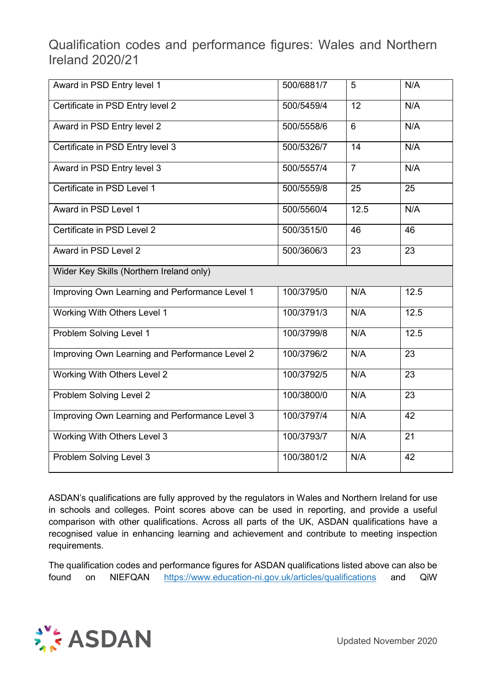Qualification codes and performance figures: Wales and Northern Ireland 2020/21

| Award in PSD Entry level 1                     | 500/6881/7 | 5               | N/A             |
|------------------------------------------------|------------|-----------------|-----------------|
| Certificate in PSD Entry level 2               | 500/5459/4 | 12              | N/A             |
| Award in PSD Entry level 2                     | 500/5558/6 | 6               | N/A             |
| Certificate in PSD Entry level 3               | 500/5326/7 | $\overline{14}$ | N/A             |
| Award in PSD Entry level 3                     | 500/5557/4 | $\overline{7}$  | N/A             |
| Certificate in PSD Level 1                     | 500/5559/8 | 25              | 25              |
| Award in PSD Level 1                           | 500/5560/4 | 12.5            | N/A             |
| Certificate in PSD Level 2                     | 500/3515/0 | 46              | 46              |
| Award in PSD Level 2                           | 500/3606/3 | 23              | $\overline{23}$ |
| Wider Key Skills (Northern Ireland only)       |            |                 |                 |
| Improving Own Learning and Performance Level 1 | 100/3795/0 | N/A             | 12.5            |
| Working With Others Level 1                    | 100/3791/3 | N/A             | 12.5            |
| Problem Solving Level 1                        | 100/3799/8 | N/A             | 12.5            |
| Improving Own Learning and Performance Level 2 | 100/3796/2 | N/A             | 23              |
| Working With Others Level 2                    | 100/3792/5 | N/A             | 23              |
| Problem Solving Level 2                        | 100/3800/0 | N/A             | $\overline{23}$ |
| Improving Own Learning and Performance Level 3 | 100/3797/4 | N/A             | 42              |
| Working With Others Level 3                    | 100/3793/7 | N/A             | 21              |
| Problem Solving Level 3                        | 100/3801/2 | N/A             | 42              |

ASDAN's qualifications are fully approved by the regulators in Wales and Northern Ireland for use in schools and colleges. Point scores above can be used in reporting, and provide a useful comparison with other qualifications. Across all parts of the UK, ASDAN qualifications have a recognised value in enhancing learning and achievement and contribute to meeting inspection requirements.

The qualification codes and performance figures for ASDAN qualifications listed above can also be found on NIEFQAN <https://www.education-ni.gov.uk/articles/qualifications> and QiW



Updated November 2020